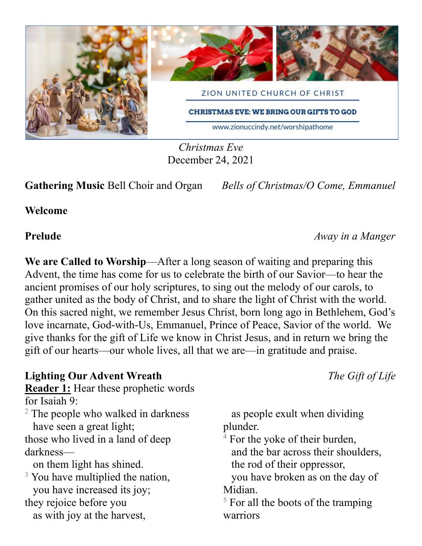

*Christmas Eve* December 24, 2021

**Gathering Music** Bell Choir and Organ *Bells of Christmas/O Come, Emmanuel*

**Welcome**

### **Prelude** *Away in a Manger*

We are Called to Worship—After a long season of waiting and preparing this Advent, the time has come for us to celebrate the birth of our Savior—to hear the ancient promises of our holy scriptures, to sing out the melody of our carols, to gather united as the body of Christ, and to share the light of Christ with the world. On this sacred night, we remember Jesus Christ, born long ago in Bethlehem, God's love incarnate, God-with-Us, Emmanuel, Prince of Peace, Savior of the world. We give thanks for the gift of Life we know in Christ Jesus, and in return we bring the gift of our hearts—our whole lives, all that we are—in gratitude and praise.

**Lighting Our Advent Wreath** *The Gift of Life* **Reader 1:** Hear these prophetic words for Isaiah 9: <sup>2</sup> The people who walked in darkness have seen a great light; those who lived in a land of deep darkness on them light has shined.  $3$  You have multiplied the nation, you have increased its joy; they rejoice before you as with joy at the harvest, plunder. Midian. warriors

as people exult when dividing

 $4$  For the yoke of their burden, and the bar across their shoulders, the rod of their oppressor,

you have broken as on the day of

 $<sup>5</sup>$  For all the boots of the tramping</sup>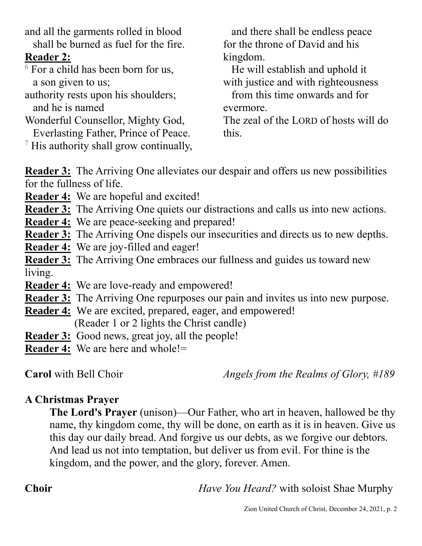and all the garments rolled in blood shall be burned as fuel for the fire. **Reader 2:**  $6$  For a child has been born for us, a son given to us; authority rests upon his shoulders; and he is named Wonderful Counsellor, Mighty God, Everlasting Father, Prince of Peace.  $\frac{7}{7}$  His authority shall grow continually, and there shall be endless peace for the throne of David and his kingdom. He will establish and uphold it with justice and with righteousness from this time onwards and for evermore. The zeal of the LORD of hosts will do this.

**Reader 3:** The Arriving One alleviates our despair and offers us new possibilities for the fullness of life.

**Reader 4:** We are hopeful and excited!

**Reader 3:** The Arriving One quiets our distractions and calls us into new actions.

- **Reader 4:** We are peace-seeking and prepared!
- **Reader 3:** The Arriving One dispels our insecurities and directs us to new depths.
- **Reader 4:** We are joy-filled and eager!

**Reader 3:** The Arriving One embraces our fullness and guides us toward new living.

**Reader 4:** We are love-ready and empowered!

**Reader 3:** The Arriving One repurposes our pain and invites us into new purpose.

**Reader 4:** We are excited, prepared, eager, and empowered! (Reader 1 or 2 lights the Christ candle)

**Reader 3:** Good news, great joy, all the people!

**Reader 4:** We are here and whole!=

**Carol** with Bell Choir*Angels from the Realms of Glory, #189*

# **A Christmas Prayer**

**The Lord's Prayer** (unison)—Our Father, who art in heaven, hallowed be thy name, thy kingdom come, thy will be done, on earth as it is in heaven. Give us this day our daily bread. And forgive us our debts, as we forgive our debtors. And lead us not into temptation, but deliver us from evil. For thine is the kingdom, and the power, and the glory, forever. Amen.

**Choir** *Have You Heard?* with soloist Shae Murphy

### Zion United Church of Christ, December 24, 2021, p. 2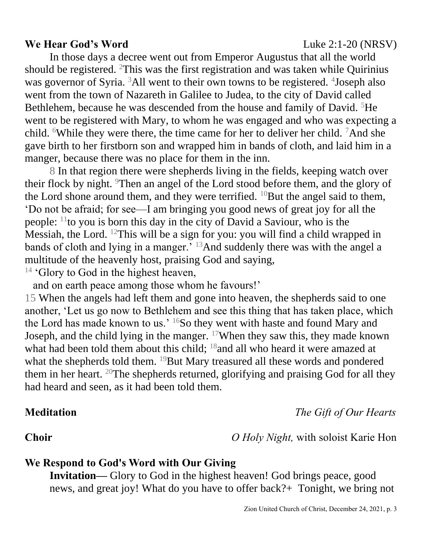### **We Hear God's Word Luke 2:1-20 (NRSV)**

Zion United Church of Christ, December 24, 2021, p. 3

In those days a decree went out from Emperor Augustus that all the world should be registered. <sup>2</sup>This was the first registration and was taken while Quirinius was governor of Syria. <sup>3</sup>All went to their own towns to be registered. <sup>4</sup>Joseph also went from the town of Nazareth in Galilee to Judea, to the city of David called Bethlehem, because he was descended from the house and family of David. <sup>5</sup>He went to be registered with Mary, to whom he was engaged and who was expecting a child. <sup>6</sup>While they were there, the time came for her to deliver her child. <sup>7</sup>And she gave birth to her firstborn son and wrapped him in bands of cloth, and laid him in a manger, because there was no place for them in the inn.

8 In that region there were shepherds living in the fields, keeping watch over their flock by night. Then an angel of the Lord stood before them, and the glory of the Lord shone around them, and they were terrified.  $^{10}$ But the angel said to them, 'Do not be afraid; for see—I am bringing you good news of great joy for all the people: <sup>11</sup>to you is born this day in the city of David a Saviour, who is the Messiah, the Lord. <sup>12</sup>This will be a sign for you: you will find a child wrapped in bands of cloth and lying in a manger.' <sup>13</sup>And suddenly there was with the angel a multitude of the heavenly host, praising God and saying,

 $14$  'Glory to God in the highest heaven,

and on earth peace among those whom he favours!'

15 When the angels had left them and gone into heaven, the shepherds said to one another, 'Let us go now to Bethlehem and see this thing that has taken place, which the Lord has made known to us.'  $^{16}$ So they went with haste and found Mary and Joseph, and the child lying in the manger. <sup>17</sup>When they saw this, they made known what had been told them about this child; <sup>18</sup> and all who heard it were amazed at what the shepherds told them. <sup>19</sup>But Mary treasured all these words and pondered them in her heart.  $20$ The shepherds returned, glorifying and praising God for all they had heard and seen, as it had been told them.

# **Meditation** *The Gift of Our Hearts*

**Choir** *O Holy Night,* with soloist Karie Hon

## **We Respond to God's Word with Our Giving**

**Invitation—** Glory to God in the highest heaven! God brings peace, good news, and great joy! What do you have to offer back?+ Tonight, we bring not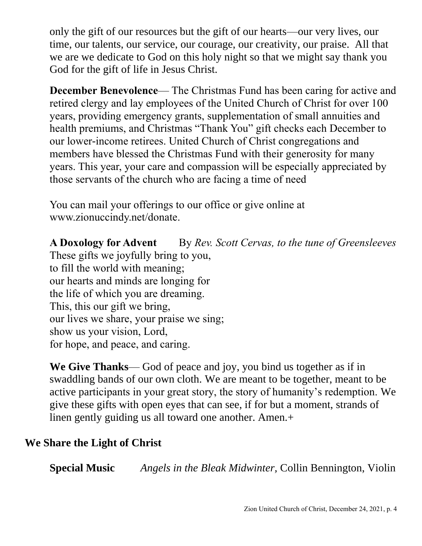only the gift of our resources but the gift of our hearts—our very lives, our time, our talents, our service, our courage, our creativity, our praise. All that we are we dedicate to God on this holy night so that we might say thank you God for the gift of life in Jesus Christ.

**December Benevolence— The Christmas Fund has been caring for active and** retired clergy and lay employees of the United Church of Christ for over 100 years, providing emergency grants, supplementation of small annuities and health premiums, and Christmas "Thank You" gift checks each December to our lower-income retirees. United Church of Christ congregations and members have blessed the Christmas Fund with their generosity for many years. This year, your care and compassion will be especially appreciated by those servants of the church who are facing a time of need

You can mail your offerings to our office or give online at www.zionuccindy.net/donate.

**A Doxology for Advent** By *Rev. Scott Cervas, to the tune of Greensleeves*

These gifts we joyfully bring to you, to fill the world with meaning; our hearts and minds are longing for the life of which you are dreaming. This, this our gift we bring, our lives we share, your praise we sing; show us your vision, Lord, for hope, and peace, and caring.

**We Give Thanks**— God of peace and joy, you bind us together as if in swaddling bands of our own cloth. We are meant to be together, meant to be active participants in your great story, the story of humanity's redemption. We give these gifts with open eyes that can see, if for but a moment, strands of linen gently guiding us all toward one another. Amen.+

# **We Share the Light of Christ**

**Special Music** *Angels in the Bleak Midwinter,* Collin Bennington, Violin